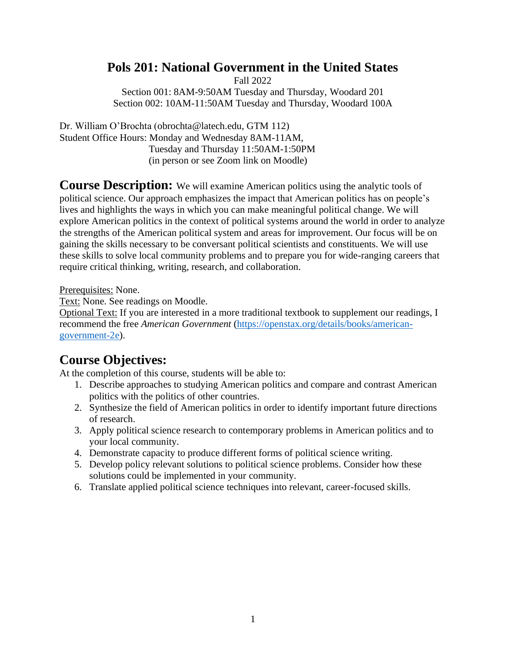# **Pols 201: National Government in the United States**

Fall 2022

Section 001: 8AM-9:50AM Tuesday and Thursday, Woodard 201 Section 002: 10AM-11:50AM Tuesday and Thursday, Woodard 100A

Dr. William O'Brochta (obrochta@latech.edu, GTM 112) Student Office Hours: Monday and Wednesday 8AM-11AM, Tuesday and Thursday 11:50AM-1:50PM (in person or see Zoom link on Moodle)

**Course Description:** We will examine American politics using the analytic tools of political science. Our approach emphasizes the impact that American politics has on people's lives and highlights the ways in which you can make meaningful political change. We will explore American politics in the context of political systems around the world in order to analyze the strengths of the American political system and areas for improvement. Our focus will be on gaining the skills necessary to be conversant political scientists and constituents. We will use these skills to solve local community problems and to prepare you for wide-ranging careers that require critical thinking, writing, research, and collaboration.

Prerequisites: None.

Text: None. See readings on Moodle.

Optional Text: If you are interested in a more traditional textbook to supplement our readings, I recommend the free *American Government* [\(https://openstax.org/details/books/american](https://openstax.org/details/books/american-government-2e)[government-2e\)](https://openstax.org/details/books/american-government-2e).

# **Course Objectives:**

At the completion of this course, students will be able to:

- 1. Describe approaches to studying American politics and compare and contrast American politics with the politics of other countries.
- 2. Synthesize the field of American politics in order to identify important future directions of research.
- 3. Apply political science research to contemporary problems in American politics and to your local community.
- 4. Demonstrate capacity to produce different forms of political science writing.
- 5. Develop policy relevant solutions to political science problems. Consider how these solutions could be implemented in your community.
- 6. Translate applied political science techniques into relevant, career-focused skills.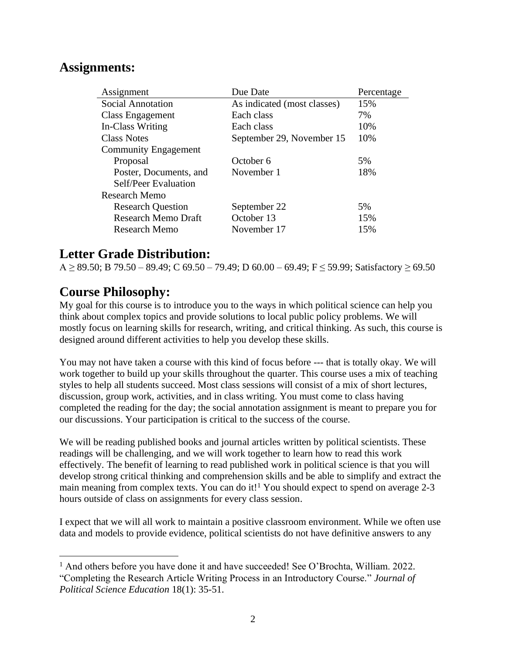# **Assignments:**

| Assignment                  | Due Date                    | Percentage |
|-----------------------------|-----------------------------|------------|
| <b>Social Annotation</b>    | As indicated (most classes) | 15%        |
| Class Engagement            | Each class                  | 7%         |
| In-Class Writing            | Each class                  | 10%        |
| <b>Class Notes</b>          | September 29, November 15   | 10%        |
| <b>Community Engagement</b> |                             |            |
| Proposal                    | October 6                   | 5%         |
| Poster, Documents, and      | November 1                  | 18%        |
| Self/Peer Evaluation        |                             |            |
| Research Memo               |                             |            |
| <b>Research Question</b>    | September 22                | 5%         |
| <b>Research Memo Draft</b>  | October 13                  | 15%        |
| Research Memo               | November 17                 | 15%        |

# **Letter Grade Distribution:**

A ≥ 89.50; B 79.50 – 89.49; C 69.50 – 79.49; D 60.00 – 69.49; F ≤ 59.99; Satisfactory ≥ 69.50

# **Course Philosophy:**

My goal for this course is to introduce you to the ways in which political science can help you think about complex topics and provide solutions to local public policy problems. We will mostly focus on learning skills for research, writing, and critical thinking. As such, this course is designed around different activities to help you develop these skills.

You may not have taken a course with this kind of focus before --- that is totally okay. We will work together to build up your skills throughout the quarter. This course uses a mix of teaching styles to help all students succeed. Most class sessions will consist of a mix of short lectures, discussion, group work, activities, and in class writing. You must come to class having completed the reading for the day; the social annotation assignment is meant to prepare you for our discussions. Your participation is critical to the success of the course.

We will be reading published books and journal articles written by political scientists. These readings will be challenging, and we will work together to learn how to read this work effectively. The benefit of learning to read published work in political science is that you will develop strong critical thinking and comprehension skills and be able to simplify and extract the main meaning from complex texts. You can do it!<sup>1</sup> You should expect to spend on average 2-3 hours outside of class on assignments for every class session.

I expect that we will all work to maintain a positive classroom environment. While we often use data and models to provide evidence, political scientists do not have definitive answers to any

<sup>&</sup>lt;sup>1</sup> And others before you have done it and have succeeded! See O'Brochta, William. 2022. "Completing the Research Article Writing Process in an Introductory Course." *Journal of Political Science Education* 18(1): 35-51.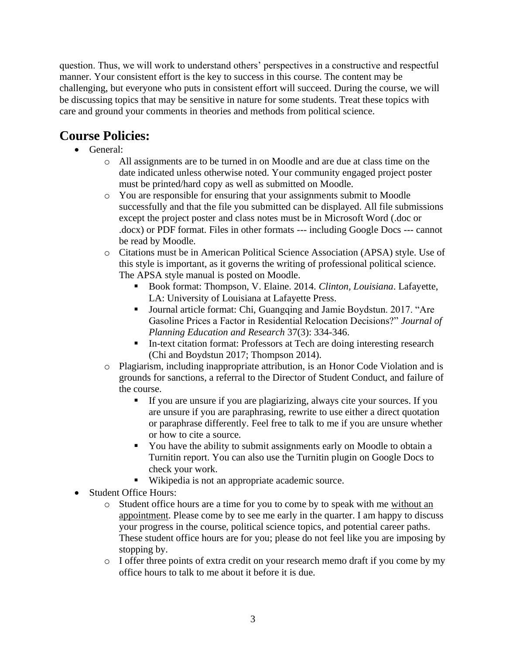question. Thus, we will work to understand others' perspectives in a constructive and respectful manner. Your consistent effort is the key to success in this course. The content may be challenging, but everyone who puts in consistent effort will succeed. During the course, we will be discussing topics that may be sensitive in nature for some students. Treat these topics with care and ground your comments in theories and methods from political science.

# **Course Policies:**

- General:
	- o All assignments are to be turned in on Moodle and are due at class time on the date indicated unless otherwise noted. Your community engaged project poster must be printed/hard copy as well as submitted on Moodle.
	- o You are responsible for ensuring that your assignments submit to Moodle successfully and that the file you submitted can be displayed. All file submissions except the project poster and class notes must be in Microsoft Word (.doc or .docx) or PDF format. Files in other formats --- including Google Docs --- cannot be read by Moodle.
	- o Citations must be in American Political Science Association (APSA) style. Use of this style is important, as it governs the writing of professional political science. The APSA style manual is posted on Moodle.
		- Book format: Thompson, V. Elaine. 2014. *Clinton, Louisiana*. Lafayette, LA: University of Louisiana at Lafayette Press.
		- Journal article format: Chi, Guangqing and Jamie Boydstun. 2017. "Are Gasoline Prices a Factor in Residential Relocation Decisions?" *Journal of Planning Education and Research* 37(3): 334-346.
		- In-text citation format: Professors at Tech are doing interesting research (Chi and Boydstun 2017; Thompson 2014).
	- o Plagiarism, including inappropriate attribution, is an Honor Code Violation and is grounds for sanctions, a referral to the Director of Student Conduct, and failure of the course.
		- If you are unsure if you are plagiarizing, always cite your sources. If you are unsure if you are paraphrasing, rewrite to use either a direct quotation or paraphrase differently. Feel free to talk to me if you are unsure whether or how to cite a source.
		- You have the ability to submit assignments early on Moodle to obtain a Turnitin report. You can also use the Turnitin plugin on Google Docs to check your work.
		- Wikipedia is not an appropriate academic source.
- Student Office Hours:
	- o Student office hours are a time for you to come by to speak with me without an appointment. Please come by to see me early in the quarter. I am happy to discuss your progress in the course, political science topics, and potential career paths. These student office hours are for you; please do not feel like you are imposing by stopping by.
	- o I offer three points of extra credit on your research memo draft if you come by my office hours to talk to me about it before it is due.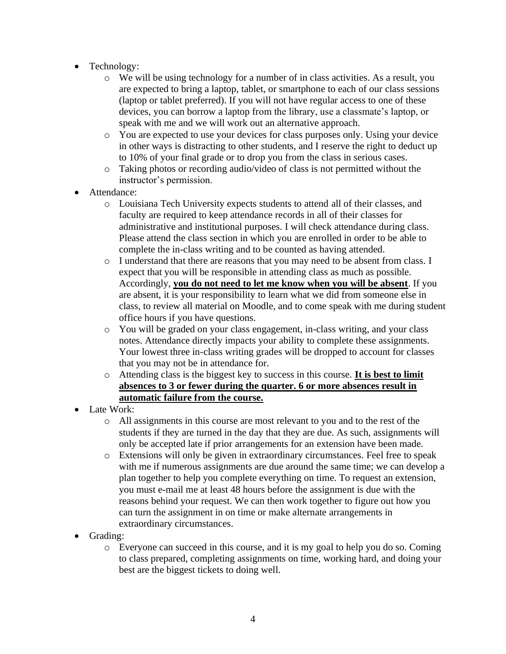- Technology:
	- o We will be using technology for a number of in class activities. As a result, you are expected to bring a laptop, tablet, or smartphone to each of our class sessions (laptop or tablet preferred). If you will not have regular access to one of these devices, you can borrow a laptop from the library, use a classmate's laptop, or speak with me and we will work out an alternative approach.
	- o You are expected to use your devices for class purposes only. Using your device in other ways is distracting to other students, and I reserve the right to deduct up to 10% of your final grade or to drop you from the class in serious cases.
	- o Taking photos or recording audio/video of class is not permitted without the instructor's permission.
- Attendance:
	- o Louisiana Tech University expects students to attend all of their classes, and faculty are required to keep attendance records in all of their classes for administrative and institutional purposes. I will check attendance during class. Please attend the class section in which you are enrolled in order to be able to complete the in-class writing and to be counted as having attended.
	- o I understand that there are reasons that you may need to be absent from class. I expect that you will be responsible in attending class as much as possible. Accordingly, **you do not need to let me know when you will be absent**. If you are absent, it is your responsibility to learn what we did from someone else in class, to review all material on Moodle, and to come speak with me during student office hours if you have questions.
	- o You will be graded on your class engagement, in-class writing, and your class notes. Attendance directly impacts your ability to complete these assignments. Your lowest three in-class writing grades will be dropped to account for classes that you may not be in attendance for.
	- o Attending class is the biggest key to success in this course. **It is best to limit absences to 3 or fewer during the quarter. 6 or more absences result in automatic failure from the course.**
- Late Work:
	- o All assignments in this course are most relevant to you and to the rest of the students if they are turned in the day that they are due. As such, assignments will only be accepted late if prior arrangements for an extension have been made.
	- o Extensions will only be given in extraordinary circumstances. Feel free to speak with me if numerous assignments are due around the same time; we can develop a plan together to help you complete everything on time. To request an extension, you must e-mail me at least 48 hours before the assignment is due with the reasons behind your request. We can then work together to figure out how you can turn the assignment in on time or make alternate arrangements in extraordinary circumstances.
- Grading:
	- o Everyone can succeed in this course, and it is my goal to help you do so. Coming to class prepared, completing assignments on time, working hard, and doing your best are the biggest tickets to doing well.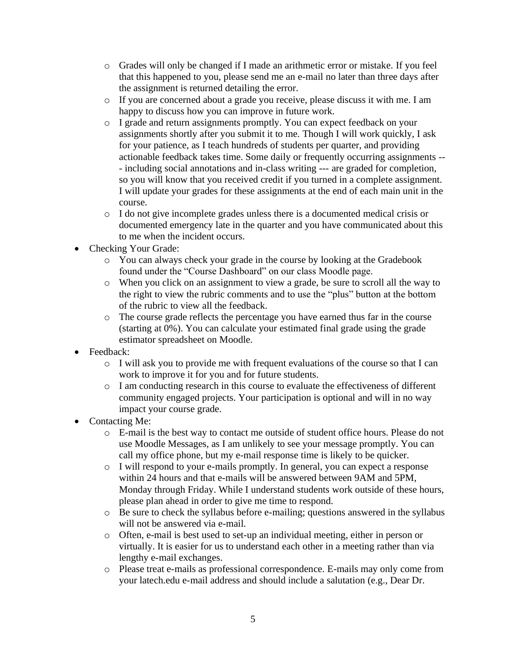- o Grades will only be changed if I made an arithmetic error or mistake. If you feel that this happened to you, please send me an e-mail no later than three days after the assignment is returned detailing the error.
- o If you are concerned about a grade you receive, please discuss it with me. I am happy to discuss how you can improve in future work.
- o I grade and return assignments promptly. You can expect feedback on your assignments shortly after you submit it to me. Though I will work quickly, I ask for your patience, as I teach hundreds of students per quarter, and providing actionable feedback takes time. Some daily or frequently occurring assignments -- - including social annotations and in-class writing --- are graded for completion, so you will know that you received credit if you turned in a complete assignment. I will update your grades for these assignments at the end of each main unit in the course.
- o I do not give incomplete grades unless there is a documented medical crisis or documented emergency late in the quarter and you have communicated about this to me when the incident occurs.
- Checking Your Grade:
	- o You can always check your grade in the course by looking at the Gradebook found under the "Course Dashboard" on our class Moodle page.
	- o When you click on an assignment to view a grade, be sure to scroll all the way to the right to view the rubric comments and to use the "plus" button at the bottom of the rubric to view all the feedback.
	- o The course grade reflects the percentage you have earned thus far in the course (starting at 0%). You can calculate your estimated final grade using the grade estimator spreadsheet on Moodle.
- Feedback:
	- o I will ask you to provide me with frequent evaluations of the course so that I can work to improve it for you and for future students.
	- o I am conducting research in this course to evaluate the effectiveness of different community engaged projects. Your participation is optional and will in no way impact your course grade.
- Contacting Me:
	- o E-mail is the best way to contact me outside of student office hours. Please do not use Moodle Messages, as I am unlikely to see your message promptly. You can call my office phone, but my e-mail response time is likely to be quicker.
	- o I will respond to your e-mails promptly. In general, you can expect a response within 24 hours and that e-mails will be answered between 9AM and 5PM, Monday through Friday. While I understand students work outside of these hours, please plan ahead in order to give me time to respond.
	- o Be sure to check the syllabus before e-mailing; questions answered in the syllabus will not be answered via e-mail.
	- o Often, e-mail is best used to set-up an individual meeting, either in person or virtually. It is easier for us to understand each other in a meeting rather than via lengthy e-mail exchanges.
	- o Please treat e-mails as professional correspondence. E-mails may only come from your latech.edu e-mail address and should include a salutation (e.g., Dear Dr.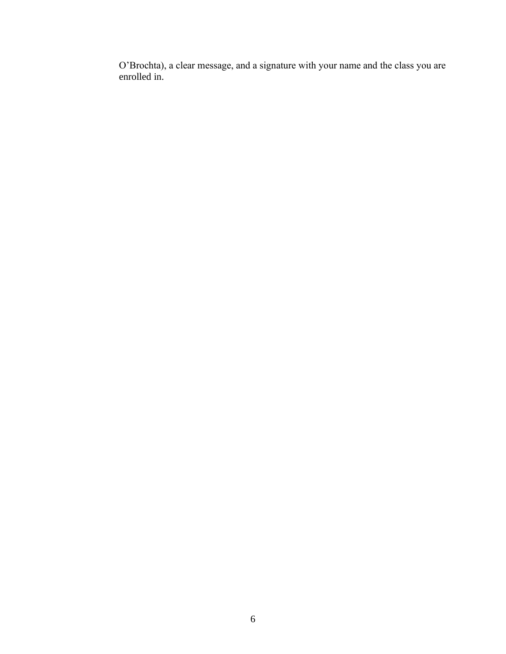O'Brochta), a clear message, and a signature with your name and the class you are enrolled in.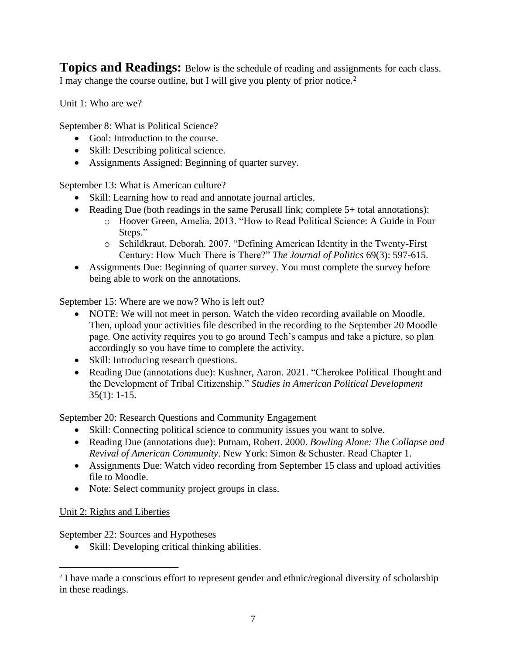**Topics and Readings:** Below is the schedule of reading and assignments for each class. I may change the course outline, but I will give you plenty of prior notice.<sup>2</sup>

Unit 1: Who are we?

September 8: What is Political Science?

- Goal: Introduction to the course.
- Skill: Describing political science.
- Assignments Assigned: Beginning of quarter survey.

September 13: What is American culture?

- Skill: Learning how to read and annotate journal articles.
- Reading Due (both readings in the same Perusall link; complete 5+ total annotations):
	- o Hoover Green, Amelia. 2013. "How to Read Political Science: A Guide in Four Steps."
	- o Schildkraut, Deborah. 2007. "Defining American Identity in the Twenty-First Century: How Much There is There?" *The Journal of Politics* 69(3): 597-615.
- Assignments Due: Beginning of quarter survey. You must complete the survey before being able to work on the annotations.

September 15: Where are we now? Who is left out?

- NOTE: We will not meet in person. Watch the video recording available on Moodle. Then, upload your activities file described in the recording to the September 20 Moodle page. One activity requires you to go around Tech's campus and take a picture, so plan accordingly so you have time to complete the activity.
- Skill: Introducing research questions.
- Reading Due (annotations due): Kushner, Aaron. 2021. "Cherokee Political Thought and the Development of Tribal Citizenship." *Studies in American Political Development* 35(1): 1-15.

September 20: Research Questions and Community Engagement

- Skill: Connecting political science to community issues you want to solve.
- Reading Due (annotations due): Putnam, Robert. 2000. *Bowling Alone: The Collapse and Revival of American Community*. New York: Simon & Schuster. Read Chapter 1.
- Assignments Due: Watch video recording from September 15 class and upload activities file to Moodle.
- Note: Select community project groups in class.

#### Unit 2: Rights and Liberties

September 22: Sources and Hypotheses

• Skill: Developing critical thinking abilities.

<sup>&</sup>lt;sup>2</sup> I have made a conscious effort to represent gender and ethnic/regional diversity of scholarship in these readings.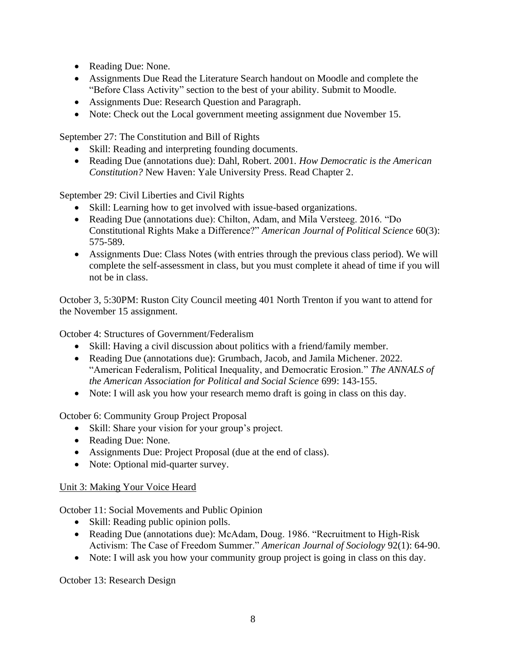- Reading Due: None.
- Assignments Due Read the Literature Search handout on Moodle and complete the "Before Class Activity" section to the best of your ability. Submit to Moodle.
- Assignments Due: Research Question and Paragraph.
- Note: Check out the Local government meeting assignment due November 15.

September 27: The Constitution and Bill of Rights

- Skill: Reading and interpreting founding documents.
- Reading Due (annotations due): Dahl, Robert. 2001. *How Democratic is the American Constitution?* New Haven: Yale University Press. Read Chapter 2.

September 29: Civil Liberties and Civil Rights

- Skill: Learning how to get involved with issue-based organizations.
- Reading Due (annotations due): Chilton, Adam, and Mila Versteeg. 2016. "Do Constitutional Rights Make a Difference?" *American Journal of Political Science* 60(3): 575-589.
- Assignments Due: Class Notes (with entries through the previous class period). We will complete the self-assessment in class, but you must complete it ahead of time if you will not be in class.

October 3, 5:30PM: Ruston City Council meeting 401 North Trenton if you want to attend for the November 15 assignment.

October 4: Structures of Government/Federalism

- Skill: Having a civil discussion about politics with a friend/family member.
- Reading Due (annotations due): Grumbach, Jacob, and Jamila Michener. 2022. "American Federalism, Political Inequality, and Democratic Erosion." *The ANNALS of the American Association for Political and Social Science* 699: 143-155.
- Note: I will ask you how your research memo draft is going in class on this day.

October 6: Community Group Project Proposal

- Skill: Share your vision for your group's project.
- Reading Due: None.
- Assignments Due: Project Proposal (due at the end of class).
- Note: Optional mid-quarter survey.

### Unit 3: Making Your Voice Heard

October 11: Social Movements and Public Opinion

- Skill: Reading public opinion polls.
- Reading Due (annotations due): McAdam, Doug. 1986. "Recruitment to High-Risk Activism: The Case of Freedom Summer." *American Journal of Sociology* 92(1): 64-90.
- Note: I will ask you how your community group project is going in class on this day.

October 13: Research Design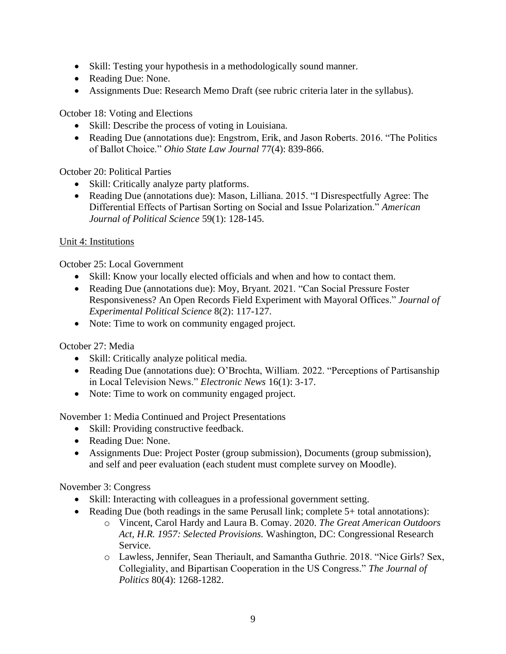- Skill: Testing your hypothesis in a methodologically sound manner.
- Reading Due: None.
- Assignments Due: Research Memo Draft (see rubric criteria later in the syllabus).

October 18: Voting and Elections

- Skill: Describe the process of voting in Louisiana.
- Reading Due (annotations due): Engstrom, Erik, and Jason Roberts. 2016. "The Politics of Ballot Choice." *Ohio State Law Journal* 77(4): 839-866.

October 20: Political Parties

- Skill: Critically analyze party platforms.
- Reading Due (annotations due): Mason, Lilliana. 2015. "I Disrespectfully Agree: The Differential Effects of Partisan Sorting on Social and Issue Polarization." *American Journal of Political Science* 59(1): 128-145.

### Unit 4: Institutions

October 25: Local Government

- Skill: Know your locally elected officials and when and how to contact them.
- Reading Due (annotations due): Moy, Bryant. 2021. "Can Social Pressure Foster Responsiveness? An Open Records Field Experiment with Mayoral Offices." *Journal of Experimental Political Science* 8(2): 117-127.
- Note: Time to work on community engaged project.

October 27: Media

- Skill: Critically analyze political media.
- Reading Due (annotations due): O'Brochta, William. 2022. "Perceptions of Partisanship in Local Television News." *Electronic News* 16(1): 3-17.
- Note: Time to work on community engaged project.

November 1: Media Continued and Project Presentations

- Skill: Providing constructive feedback.
- Reading Due: None.
- Assignments Due: Project Poster (group submission), Documents (group submission), and self and peer evaluation (each student must complete survey on Moodle).

November 3: Congress

- Skill: Interacting with colleagues in a professional government setting.
- Reading Due (both readings in the same Perusall link; complete 5+ total annotations):
	- o Vincent, Carol Hardy and Laura B. Comay. 2020. *The Great American Outdoors Act, H.R. 1957: Selected Provisions.* Washington, DC: Congressional Research Service.
	- o Lawless, Jennifer, Sean Theriault, and Samantha Guthrie. 2018. "Nice Girls? Sex, Collegiality, and Bipartisan Cooperation in the US Congress." *The Journal of Politics* 80(4): 1268-1282.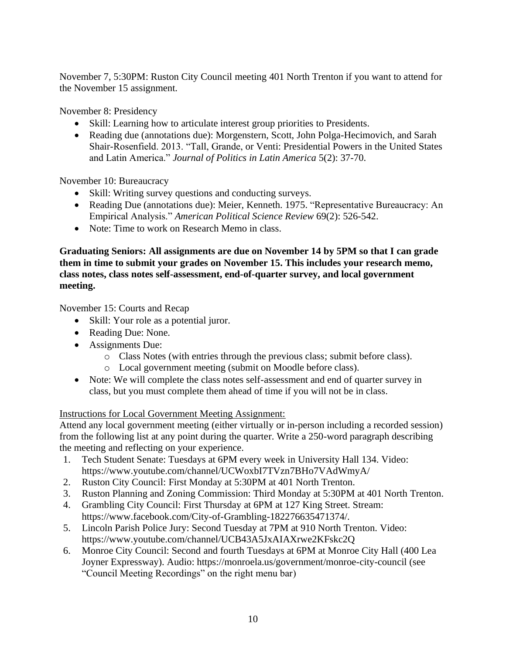November 7, 5:30PM: Ruston City Council meeting 401 North Trenton if you want to attend for the November 15 assignment.

November 8: Presidency

- Skill: Learning how to articulate interest group priorities to Presidents.
- Reading due (annotations due): Morgenstern, Scott, John Polga-Hecimovich, and Sarah Shair-Rosenfield. 2013. "Tall, Grande, or Venti: Presidential Powers in the United States and Latin America." *Journal of Politics in Latin America* 5(2): 37-70.

November 10: Bureaucracy

- Skill: Writing survey questions and conducting surveys.
- Reading Due (annotations due): Meier, Kenneth. 1975. "Representative Bureaucracy: An Empirical Analysis." *American Political Science Review* 69(2): 526-542.
- Note: Time to work on Research Memo in class.

**Graduating Seniors: All assignments are due on November 14 by 5PM so that I can grade them in time to submit your grades on November 15. This includes your research memo, class notes, class notes self-assessment, end-of-quarter survey, and local government meeting.**

November 15: Courts and Recap

- Skill: Your role as a potential juror.
- Reading Due: None.
- Assignments Due:
	- o Class Notes (with entries through the previous class; submit before class).
	- o Local government meeting (submit on Moodle before class).
- Note: We will complete the class notes self-assessment and end of quarter survey in class, but you must complete them ahead of time if you will not be in class.

Instructions for Local Government Meeting Assignment:

Attend any local government meeting (either virtually or in-person including a recorded session) from the following list at any point during the quarter. Write a 250-word paragraph describing the meeting and reflecting on your experience.

- 1. Tech Student Senate: Tuesdays at 6PM every week in University Hall 134. Video: https://www.youtube.com/channel/UCWoxbI7TVzn7BHo7VAdWmyA/
- 2. Ruston City Council: First Monday at 5:30PM at 401 North Trenton.
- 3. Ruston Planning and Zoning Commission: Third Monday at 5:30PM at 401 North Trenton.
- 4. Grambling City Council: First Thursday at 6PM at 127 King Street. Stream: https://www.facebook.com/City-of-Grambling-182276635471374/.
- 5. Lincoln Parish Police Jury: Second Tuesday at 7PM at 910 North Trenton. Video: https://www.youtube.com/channel/UCB43A5JxAIAXrwe2KFskc2Q
- 6. Monroe City Council: Second and fourth Tuesdays at 6PM at Monroe City Hall (400 Lea Joyner Expressway). Audio: https://monroela.us/government/monroe-city-council (see "Council Meeting Recordings" on the right menu bar)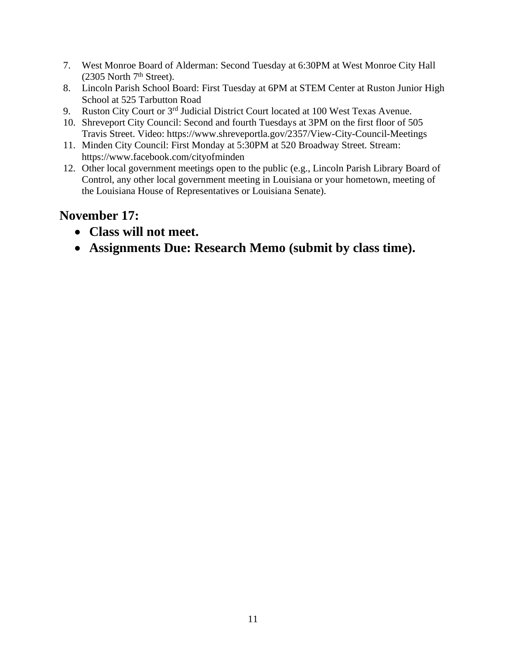- 7. West Monroe Board of Alderman: Second Tuesday at 6:30PM at West Monroe City Hall  $(2305$  North  $7<sup>th</sup>$  Street).
- 8. Lincoln Parish School Board: First Tuesday at 6PM at STEM Center at Ruston Junior High School at 525 Tarbutton Road
- 9. Ruston City Court or 3<sup>rd</sup> Judicial District Court located at 100 West Texas Avenue.
- 10. Shreveport City Council: Second and fourth Tuesdays at 3PM on the first floor of 505 Travis Street. Video: https://www.shreveportla.gov/2357/View-City-Council-Meetings
- 11. Minden City Council: First Monday at 5:30PM at 520 Broadway Street. Stream: https://www.facebook.com/cityofminden
- 12. Other local government meetings open to the public (e.g., Lincoln Parish Library Board of Control, any other local government meeting in Louisiana or your hometown, meeting of the Louisiana House of Representatives or Louisiana Senate).

# **November 17:**

- **Class will not meet.**
- **Assignments Due: Research Memo (submit by class time).**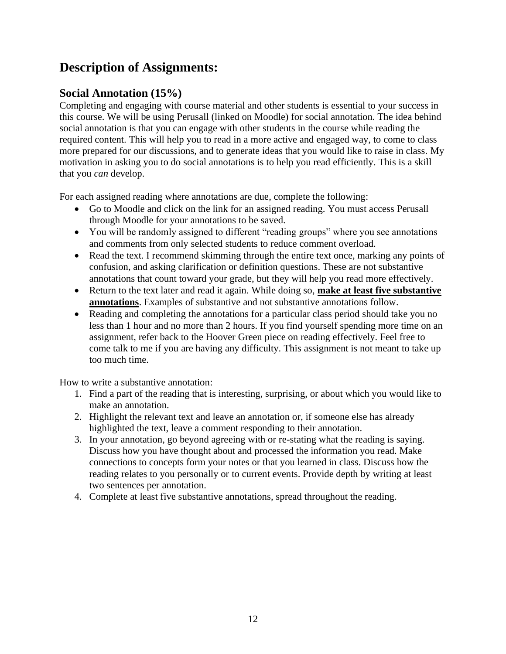# **Description of Assignments:**

# **Social Annotation (15%)**

Completing and engaging with course material and other students is essential to your success in this course. We will be using Perusall (linked on Moodle) for social annotation. The idea behind social annotation is that you can engage with other students in the course while reading the required content. This will help you to read in a more active and engaged way, to come to class more prepared for our discussions, and to generate ideas that you would like to raise in class. My motivation in asking you to do social annotations is to help you read efficiently. This is a skill that you *can* develop.

For each assigned reading where annotations are due, complete the following:

- Go to Moodle and click on the link for an assigned reading. You must access Perusall through Moodle for your annotations to be saved.
- You will be randomly assigned to different "reading groups" where you see annotations and comments from only selected students to reduce comment overload.
- Read the text. I recommend skimming through the entire text once, marking any points of confusion, and asking clarification or definition questions. These are not substantive annotations that count toward your grade, but they will help you read more effectively.
- Return to the text later and read it again. While doing so, **make at least five substantive annotations**. Examples of substantive and not substantive annotations follow.
- Reading and completing the annotations for a particular class period should take you no less than 1 hour and no more than 2 hours. If you find yourself spending more time on an assignment, refer back to the Hoover Green piece on reading effectively. Feel free to come talk to me if you are having any difficulty. This assignment is not meant to take up too much time.

How to write a substantive annotation:

- 1. Find a part of the reading that is interesting, surprising, or about which you would like to make an annotation.
- 2. Highlight the relevant text and leave an annotation or, if someone else has already highlighted the text, leave a comment responding to their annotation.
- 3. In your annotation, go beyond agreeing with or re-stating what the reading is saying. Discuss how you have thought about and processed the information you read. Make connections to concepts form your notes or that you learned in class. Discuss how the reading relates to you personally or to current events. Provide depth by writing at least two sentences per annotation.
- 4. Complete at least five substantive annotations, spread throughout the reading.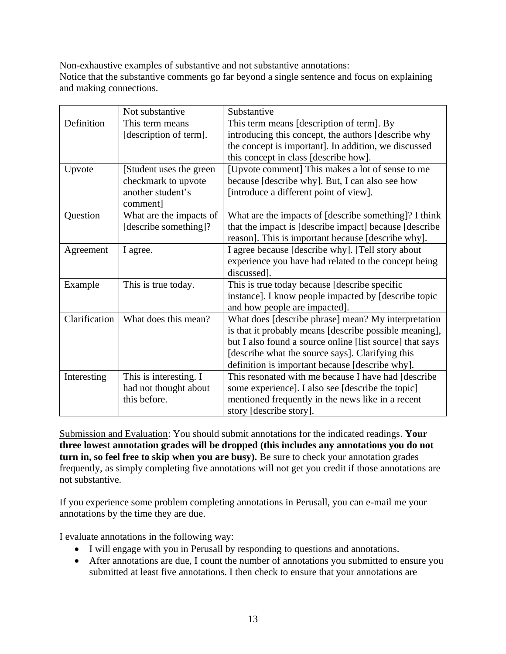Non-exhaustive examples of substantive and not substantive annotations:

Notice that the substantive comments go far beyond a single sentence and focus on explaining and making connections.

|               | Not substantive          | Substantive                                              |  |  |
|---------------|--------------------------|----------------------------------------------------------|--|--|
| Definition    | This term means          | This term means [description of term]. By                |  |  |
|               | [description of term].   | introducing this concept, the authors [describe why      |  |  |
|               |                          | the concept is important]. In addition, we discussed     |  |  |
|               |                          | this concept in class [describe how].                    |  |  |
| Upvote        | [Student uses the green] | [Upvote comment] This makes a lot of sense to me         |  |  |
|               | checkmark to upvote      | because [describe why]. But, I can also see how          |  |  |
|               | another student's        | [introduce a different point of view].                   |  |  |
|               | comment]                 |                                                          |  |  |
| Question      | What are the impacts of  | What are the impacts of [describe something]? I think    |  |  |
|               | [describe something]?    | that the impact is [describe impact] because [describe   |  |  |
|               |                          | reason]. This is important because [describe why].       |  |  |
| Agreement     | I agree.                 | I agree because [describe why]. [Tell story about        |  |  |
|               |                          | experience you have had related to the concept being     |  |  |
|               |                          | discussed].                                              |  |  |
| Example       | This is true today.      | This is true today because [describe specific            |  |  |
|               |                          | instance]. I know people impacted by [describe topic     |  |  |
|               |                          | and how people are impacted].                            |  |  |
| Clarification | What does this mean?     | What does [describe phrase] mean? My interpretation      |  |  |
|               |                          | is that it probably means [describe possible meaning],   |  |  |
|               |                          | but I also found a source online [list source] that says |  |  |
|               |                          | [describe what the source says]. Clarifying this         |  |  |
|               |                          | definition is important because [describe why].          |  |  |
| Interesting   | This is interesting. I   | This resonated with me because I have had [describe      |  |  |
|               | had not thought about    | some experience]. I also see [describe the topic]        |  |  |
|               | this before.             | mentioned frequently in the news like in a recent        |  |  |
|               |                          | story [describe story].                                  |  |  |

Submission and Evaluation: You should submit annotations for the indicated readings. **Your three lowest annotation grades will be dropped (this includes any annotations you do not turn in, so feel free to skip when you are busy).** Be sure to check your annotation grades frequently, as simply completing five annotations will not get you credit if those annotations are not substantive.

If you experience some problem completing annotations in Perusall, you can e-mail me your annotations by the time they are due.

I evaluate annotations in the following way:

- I will engage with you in Perusall by responding to questions and annotations.
- After annotations are due, I count the number of annotations you submitted to ensure you submitted at least five annotations. I then check to ensure that your annotations are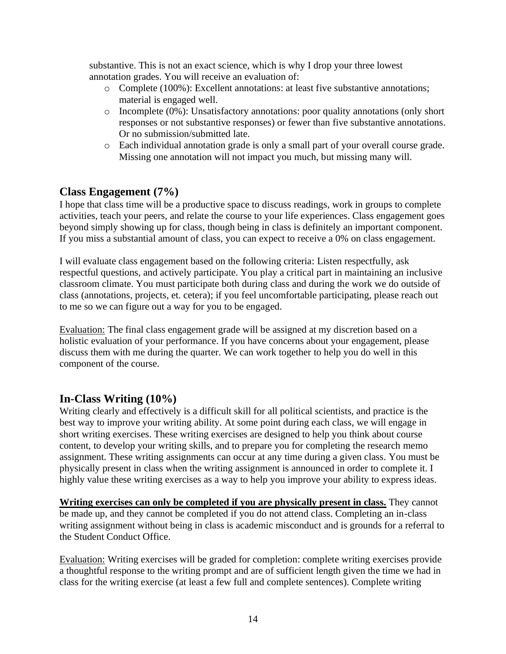substantive. This is not an exact science, which is why I drop your three lowest annotation grades. You will receive an evaluation of:

- o Complete (100%): Excellent annotations: at least five substantive annotations; material is engaged well.
- o Incomplete (0%): Unsatisfactory annotations: poor quality annotations (only short responses or not substantive responses) or fewer than five substantive annotations. Or no submission/submitted late.
- o Each individual annotation grade is only a small part of your overall course grade. Missing one annotation will not impact you much, but missing many will.

## **Class Engagement (7%)**

I hope that class time will be a productive space to discuss readings, work in groups to complete activities, teach your peers, and relate the course to your life experiences. Class engagement goes beyond simply showing up for class, though being in class is definitely an important component. If you miss a substantial amount of class, you can expect to receive a 0% on class engagement.

I will evaluate class engagement based on the following criteria: Listen respectfully, ask respectful questions, and actively participate. You play a critical part in maintaining an inclusive classroom climate. You must participate both during class and during the work we do outside of class (annotations, projects, et. cetera); if you feel uncomfortable participating, please reach out to me so we can figure out a way for you to be engaged.

Evaluation: The final class engagement grade will be assigned at my discretion based on a holistic evaluation of your performance. If you have concerns about your engagement, please discuss them with me during the quarter. We can work together to help you do well in this component of the course.

## **In-Class Writing (10%)**

Writing clearly and effectively is a difficult skill for all political scientists, and practice is the best way to improve your writing ability. At some point during each class, we will engage in short writing exercises. These writing exercises are designed to help you think about course content, to develop your writing skills, and to prepare you for completing the research memo assignment. These writing assignments can occur at any time during a given class. You must be physically present in class when the writing assignment is announced in order to complete it. I highly value these writing exercises as a way to help you improve your ability to express ideas.

**Writing exercises can only be completed if you are physically present in class.** They cannot be made up, and they cannot be completed if you do not attend class. Completing an in-class writing assignment without being in class is academic misconduct and is grounds for a referral to the Student Conduct Office.

Evaluation: Writing exercises will be graded for completion: complete writing exercises provide a thoughtful response to the writing prompt and are of sufficient length given the time we had in class for the writing exercise (at least a few full and complete sentences). Complete writing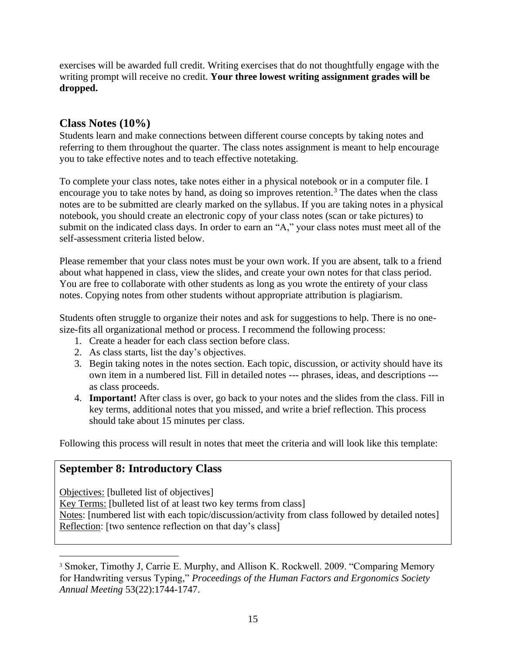exercises will be awarded full credit. Writing exercises that do not thoughtfully engage with the writing prompt will receive no credit. **Your three lowest writing assignment grades will be dropped.**

### **Class Notes (10%)**

Students learn and make connections between different course concepts by taking notes and referring to them throughout the quarter. The class notes assignment is meant to help encourage you to take effective notes and to teach effective notetaking.

To complete your class notes, take notes either in a physical notebook or in a computer file. I encourage you to take notes by hand, as doing so improves retention.<sup>3</sup> The dates when the class notes are to be submitted are clearly marked on the syllabus. If you are taking notes in a physical notebook, you should create an electronic copy of your class notes (scan or take pictures) to submit on the indicated class days. In order to earn an "A," your class notes must meet all of the self-assessment criteria listed below.

Please remember that your class notes must be your own work. If you are absent, talk to a friend about what happened in class, view the slides, and create your own notes for that class period. You are free to collaborate with other students as long as you wrote the entirety of your class notes. Copying notes from other students without appropriate attribution is plagiarism.

Students often struggle to organize their notes and ask for suggestions to help. There is no onesize-fits all organizational method or process. I recommend the following process:

- 1. Create a header for each class section before class.
- 2. As class starts, list the day's objectives.
- 3. Begin taking notes in the notes section. Each topic, discussion, or activity should have its own item in a numbered list. Fill in detailed notes --- phrases, ideas, and descriptions -- as class proceeds.
- 4. **Important!** After class is over, go back to your notes and the slides from the class. Fill in key terms, additional notes that you missed, and write a brief reflection. This process should take about 15 minutes per class.

Following this process will result in notes that meet the criteria and will look like this template:

### **September 8: Introductory Class**

Objectives: [bulleted list of objectives]

Key Terms: [bulleted list of at least two key terms from class] Notes: [numbered list with each topic/discussion/activity from class followed by detailed notes] Reflection: [two sentence reflection on that day's class]

<sup>&</sup>lt;sup>3</sup> Smoker, Timothy J, Carrie E. Murphy, and Allison K. Rockwell. 2009. "Comparing Memory for Handwriting versus Typing," *Proceedings of the Human Factors and Ergonomics Society Annual Meeting* 53(22):1744-1747.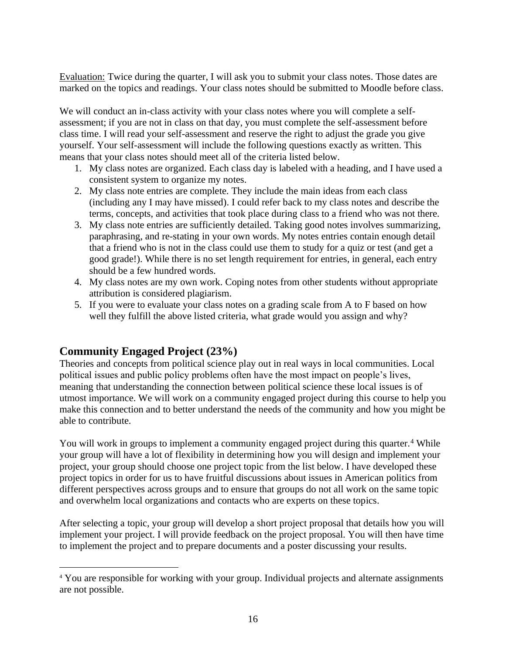Evaluation: Twice during the quarter, I will ask you to submit your class notes. Those dates are marked on the topics and readings. Your class notes should be submitted to Moodle before class.

We will conduct an in-class activity with your class notes where you will complete a selfassessment; if you are not in class on that day, you must complete the self-assessment before class time. I will read your self-assessment and reserve the right to adjust the grade you give yourself. Your self-assessment will include the following questions exactly as written. This means that your class notes should meet all of the criteria listed below.

- 1. My class notes are organized. Each class day is labeled with a heading, and I have used a consistent system to organize my notes.
- 2. My class note entries are complete. They include the main ideas from each class (including any I may have missed). I could refer back to my class notes and describe the terms, concepts, and activities that took place during class to a friend who was not there.
- 3. My class note entries are sufficiently detailed. Taking good notes involves summarizing, paraphrasing, and re-stating in your own words. My notes entries contain enough detail that a friend who is not in the class could use them to study for a quiz or test (and get a good grade!). While there is no set length requirement for entries, in general, each entry should be a few hundred words.
- 4. My class notes are my own work. Coping notes from other students without appropriate attribution is considered plagiarism.
- 5. If you were to evaluate your class notes on a grading scale from A to F based on how well they fulfill the above listed criteria, what grade would you assign and why?

## **Community Engaged Project (23%)**

Theories and concepts from political science play out in real ways in local communities. Local political issues and public policy problems often have the most impact on people's lives, meaning that understanding the connection between political science these local issues is of utmost importance. We will work on a community engaged project during this course to help you make this connection and to better understand the needs of the community and how you might be able to contribute.

You will work in groups to implement a community engaged project during this quarter.<sup>4</sup> While your group will have a lot of flexibility in determining how you will design and implement your project, your group should choose one project topic from the list below. I have developed these project topics in order for us to have fruitful discussions about issues in American politics from different perspectives across groups and to ensure that groups do not all work on the same topic and overwhelm local organizations and contacts who are experts on these topics.

After selecting a topic, your group will develop a short project proposal that details how you will implement your project. I will provide feedback on the project proposal. You will then have time to implement the project and to prepare documents and a poster discussing your results.

<sup>4</sup> You are responsible for working with your group. Individual projects and alternate assignments are not possible.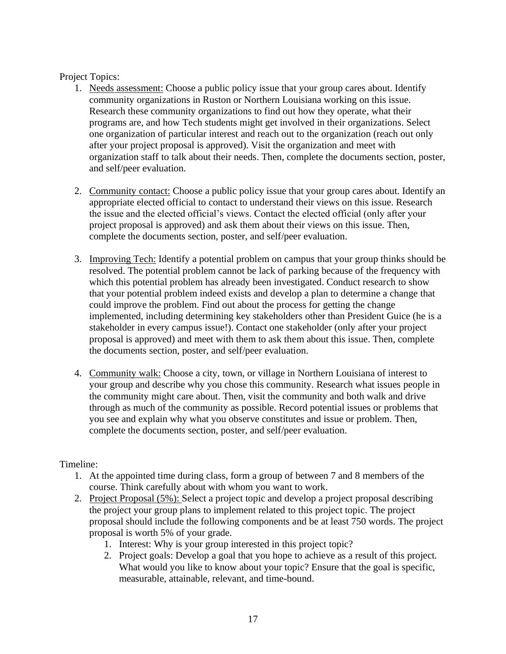Project Topics:

- 1. Needs assessment: Choose a public policy issue that your group cares about. Identify community organizations in Ruston or Northern Louisiana working on this issue. Research these community organizations to find out how they operate, what their programs are, and how Tech students might get involved in their organizations. Select one organization of particular interest and reach out to the organization (reach out only after your project proposal is approved). Visit the organization and meet with organization staff to talk about their needs. Then, complete the documents section, poster, and self/peer evaluation.
- 2. Community contact: Choose a public policy issue that your group cares about. Identify an appropriate elected official to contact to understand their views on this issue. Research the issue and the elected official's views. Contact the elected official (only after your project proposal is approved) and ask them about their views on this issue. Then, complete the documents section, poster, and self/peer evaluation.
- 3. Improving Tech: Identify a potential problem on campus that your group thinks should be resolved. The potential problem cannot be lack of parking because of the frequency with which this potential problem has already been investigated. Conduct research to show that your potential problem indeed exists and develop a plan to determine a change that could improve the problem. Find out about the process for getting the change implemented, including determining key stakeholders other than President Guice (he is a stakeholder in every campus issue!). Contact one stakeholder (only after your project proposal is approved) and meet with them to ask them about this issue. Then, complete the documents section, poster, and self/peer evaluation.
- 4. Community walk: Choose a city, town, or village in Northern Louisiana of interest to your group and describe why you chose this community. Research what issues people in the community might care about. Then, visit the community and both walk and drive through as much of the community as possible. Record potential issues or problems that you see and explain why what you observe constitutes and issue or problem. Then, complete the documents section, poster, and self/peer evaluation.

### Timeline:

- 1. At the appointed time during class, form a group of between 7 and 8 members of the course. Think carefully about with whom you want to work.
- 2. Project Proposal (5%): Select a project topic and develop a project proposal describing the project your group plans to implement related to this project topic. The project proposal should include the following components and be at least 750 words. The project proposal is worth 5% of your grade.
	- 1. Interest: Why is your group interested in this project topic?
	- 2. Project goals: Develop a goal that you hope to achieve as a result of this project. What would you like to know about your topic? Ensure that the goal is specific, measurable, attainable, relevant, and time-bound.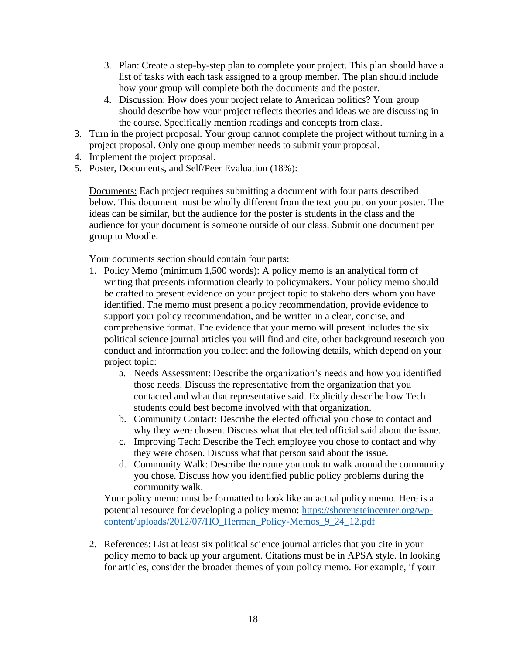- 3. Plan: Create a step-by-step plan to complete your project. This plan should have a list of tasks with each task assigned to a group member. The plan should include how your group will complete both the documents and the poster.
- 4. Discussion: How does your project relate to American politics? Your group should describe how your project reflects theories and ideas we are discussing in the course. Specifically mention readings and concepts from class.
- 3. Turn in the project proposal. Your group cannot complete the project without turning in a project proposal. Only one group member needs to submit your proposal.
- 4. Implement the project proposal.
- 5. Poster, Documents, and Self/Peer Evaluation (18%):

Documents: Each project requires submitting a document with four parts described below. This document must be wholly different from the text you put on your poster. The ideas can be similar, but the audience for the poster is students in the class and the audience for your document is someone outside of our class. Submit one document per group to Moodle.

Your documents section should contain four parts:

- 1. Policy Memo (minimum 1,500 words): A policy memo is an analytical form of writing that presents information clearly to policymakers. Your policy memo should be crafted to present evidence on your project topic to stakeholders whom you have identified. The memo must present a policy recommendation, provide evidence to support your policy recommendation, and be written in a clear, concise, and comprehensive format. The evidence that your memo will present includes the six political science journal articles you will find and cite, other background research you conduct and information you collect and the following details, which depend on your project topic:
	- a. Needs Assessment: Describe the organization's needs and how you identified those needs. Discuss the representative from the organization that you contacted and what that representative said. Explicitly describe how Tech students could best become involved with that organization.
	- b. Community Contact: Describe the elected official you chose to contact and why they were chosen. Discuss what that elected official said about the issue.
	- c. Improving Tech: Describe the Tech employee you chose to contact and why they were chosen. Discuss what that person said about the issue.
	- d. Community Walk: Describe the route you took to walk around the community you chose. Discuss how you identified public policy problems during the community walk.

Your policy memo must be formatted to look like an actual policy memo. Here is a potential resource for developing a policy memo: [https://shorensteincenter.org/wp](https://shorensteincenter.org/wp-content/uploads/2012/07/HO_Herman_Policy-Memos_9_24_12.pdf)[content/uploads/2012/07/HO\\_Herman\\_Policy-Memos\\_9\\_24\\_12.pdf](https://shorensteincenter.org/wp-content/uploads/2012/07/HO_Herman_Policy-Memos_9_24_12.pdf)

2. References: List at least six political science journal articles that you cite in your policy memo to back up your argument. Citations must be in APSA style. In looking for articles, consider the broader themes of your policy memo. For example, if your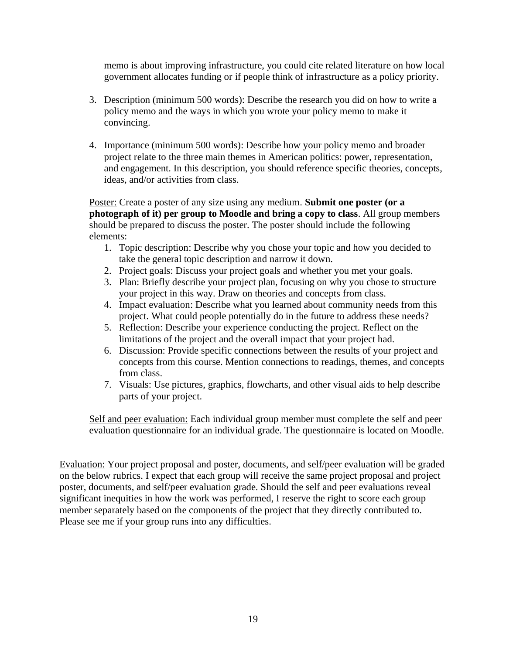memo is about improving infrastructure, you could cite related literature on how local government allocates funding or if people think of infrastructure as a policy priority.

- 3. Description (minimum 500 words): Describe the research you did on how to write a policy memo and the ways in which you wrote your policy memo to make it convincing.
- 4. Importance (minimum 500 words): Describe how your policy memo and broader project relate to the three main themes in American politics: power, representation, and engagement. In this description, you should reference specific theories, concepts, ideas, and/or activities from class.

Poster: Create a poster of any size using any medium. **Submit one poster (or a photograph of it) per group to Moodle and bring a copy to class**. All group members should be prepared to discuss the poster. The poster should include the following elements:

- 1. Topic description: Describe why you chose your topic and how you decided to take the general topic description and narrow it down.
- 2. Project goals: Discuss your project goals and whether you met your goals.
- 3. Plan: Briefly describe your project plan, focusing on why you chose to structure your project in this way. Draw on theories and concepts from class.
- 4. Impact evaluation: Describe what you learned about community needs from this project. What could people potentially do in the future to address these needs?
- 5. Reflection: Describe your experience conducting the project. Reflect on the limitations of the project and the overall impact that your project had.
- 6. Discussion: Provide specific connections between the results of your project and concepts from this course. Mention connections to readings, themes, and concepts from class.
- 7. Visuals: Use pictures, graphics, flowcharts, and other visual aids to help describe parts of your project.

Self and peer evaluation: Each individual group member must complete the self and peer evaluation questionnaire for an individual grade. The questionnaire is located on Moodle.

Evaluation: Your project proposal and poster, documents, and self/peer evaluation will be graded on the below rubrics. I expect that each group will receive the same project proposal and project poster, documents, and self/peer evaluation grade. Should the self and peer evaluations reveal significant inequities in how the work was performed, I reserve the right to score each group member separately based on the components of the project that they directly contributed to. Please see me if your group runs into any difficulties.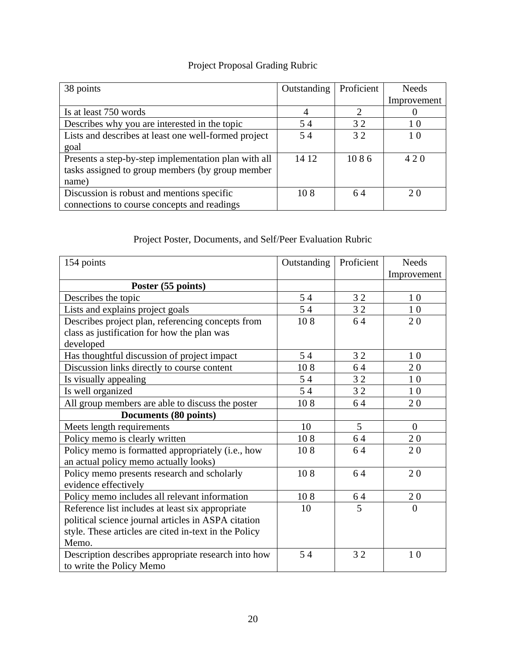# Project Proposal Grading Rubric

| 38 points                                            | Outstanding | Proficient | <b>Needs</b> |
|------------------------------------------------------|-------------|------------|--------------|
|                                                      |             |            | Improvement  |
| Is at least 750 words                                | 4           |            |              |
| Describes why you are interested in the topic        | 54          | 32         | 10           |
| Lists and describes at least one well-formed project | 54          | 32         | 10           |
| goal                                                 |             |            |              |
| Presents a step-by-step implementation plan with all | 14 12       | 1086       | 420          |
| tasks assigned to group members (by group member     |             |            |              |
| name)                                                |             |            |              |
| Discussion is robust and mentions specific           | 108         | 64         | 2.0          |
| connections to course concepts and readings          |             |            |              |

# Project Poster, Documents, and Self/Peer Evaluation Rubric

| 154 points                                            | Outstanding | Proficient     | <b>Needs</b>   |
|-------------------------------------------------------|-------------|----------------|----------------|
|                                                       |             |                | Improvement    |
| Poster (55 points)                                    |             |                |                |
| Describes the topic                                   | 54          | 32             | 10             |
| Lists and explains project goals                      | 54          | 32             | 10             |
| Describes project plan, referencing concepts from     | 108         | 64             | 20             |
| class as justification for how the plan was           |             |                |                |
| developed                                             |             |                |                |
| Has thoughtful discussion of project impact           | 54          | 32             | 10             |
| Discussion links directly to course content           | 108         | 64             | 20             |
| Is visually appealing                                 | 54          | 32             | 10             |
| Is well organized                                     | 54          | 32             | 10             |
| All group members are able to discuss the poster      | 108         | 64             | 20             |
| Documents (80 points)                                 |             |                |                |
| Meets length requirements                             | 10          | 5 <sup>5</sup> | $\overline{0}$ |
| Policy memo is clearly written                        | 108         | 64             | 20             |
| Policy memo is formatted appropriately (i.e., how     | 108         | 64             | 20             |
| an actual policy memo actually looks)                 |             |                |                |
| Policy memo presents research and scholarly           | 108         | 64             | 20             |
| evidence effectively                                  |             |                |                |
| Policy memo includes all relevant information         | 108         | 64             | 20             |
| Reference list includes at least six appropriate      | 10          | 5              | $\overline{0}$ |
| political science journal articles in ASPA citation   |             |                |                |
| style. These articles are cited in-text in the Policy |             |                |                |
| Memo.                                                 |             |                |                |
| Description describes appropriate research into how   | 54          | 32             | 10             |
| to write the Policy Memo                              |             |                |                |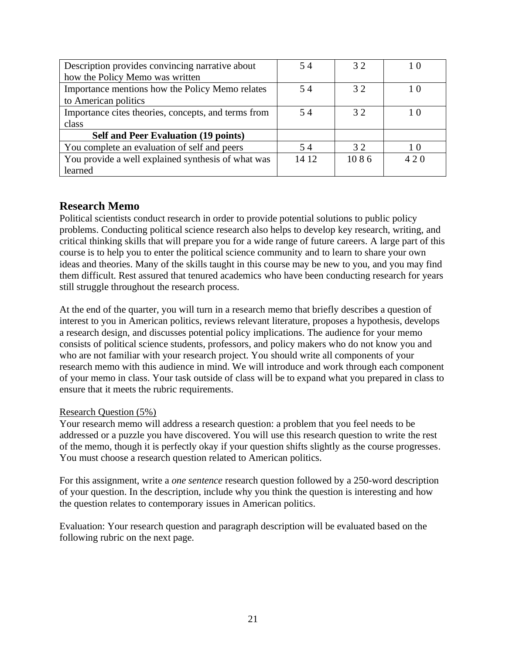| Description provides convincing narrative about     | 54    | 32   | 10  |
|-----------------------------------------------------|-------|------|-----|
| how the Policy Memo was written                     |       |      |     |
| Importance mentions how the Policy Memo relates     | 54    | 32   |     |
| to American politics                                |       |      |     |
| Importance cites theories, concepts, and terms from | 54    | 32   |     |
| class                                               |       |      |     |
| <b>Self and Peer Evaluation (19 points)</b>         |       |      |     |
| You complete an evaluation of self and peers        | 54    | 32   | 10  |
| You provide a well explained synthesis of what was  | 14 12 | 1086 | 420 |
| learned                                             |       |      |     |

### **Research Memo**

Political scientists conduct research in order to provide potential solutions to public policy problems. Conducting political science research also helps to develop key research, writing, and critical thinking skills that will prepare you for a wide range of future careers. A large part of this course is to help you to enter the political science community and to learn to share your own ideas and theories. Many of the skills taught in this course may be new to you, and you may find them difficult. Rest assured that tenured academics who have been conducting research for years still struggle throughout the research process.

At the end of the quarter, you will turn in a research memo that briefly describes a question of interest to you in American politics, reviews relevant literature, proposes a hypothesis, develops a research design, and discusses potential policy implications. The audience for your memo consists of political science students, professors, and policy makers who do not know you and who are not familiar with your research project. You should write all components of your research memo with this audience in mind. We will introduce and work through each component of your memo in class. Your task outside of class will be to expand what you prepared in class to ensure that it meets the rubric requirements.

### Research Question (5%)

Your research memo will address a research question: a problem that you feel needs to be addressed or a puzzle you have discovered. You will use this research question to write the rest of the memo, though it is perfectly okay if your question shifts slightly as the course progresses. You must choose a research question related to American politics.

For this assignment, write a *one sentence* research question followed by a 250-word description of your question. In the description, include why you think the question is interesting and how the question relates to contemporary issues in American politics.

Evaluation: Your research question and paragraph description will be evaluated based on the following rubric on the next page.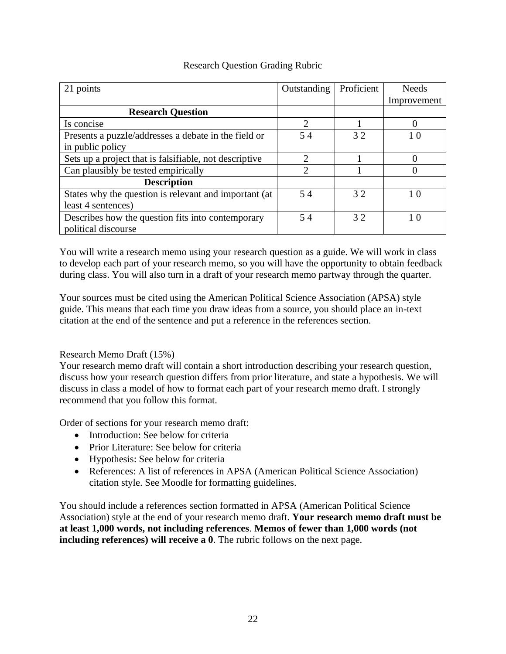### Research Question Grading Rubric

| 21 points                                              | Outstanding                 | Proficient | <b>Needs</b> |
|--------------------------------------------------------|-----------------------------|------------|--------------|
|                                                        |                             |            | Improvement  |
| <b>Research Question</b>                               |                             |            |              |
| Is concise                                             | 2                           |            |              |
| Presents a puzzle/addresses a debate in the field or   | 54                          | 32         | 10           |
| in public policy                                       |                             |            |              |
| Sets up a project that is falsifiable, not descriptive | 2                           |            |              |
| Can plausibly be tested empirically                    | $\mathcal{D}_{\mathcal{L}}$ |            |              |
| <b>Description</b>                                     |                             |            |              |
| States why the question is relevant and important (at  | 54                          | 32         | 10           |
| least 4 sentences)                                     |                             |            |              |
| Describes how the question fits into contemporary      | 54                          | 32         | 10           |
| political discourse                                    |                             |            |              |

You will write a research memo using your research question as a guide. We will work in class to develop each part of your research memo, so you will have the opportunity to obtain feedback during class. You will also turn in a draft of your research memo partway through the quarter.

Your sources must be cited using the American Political Science Association (APSA) style guide. This means that each time you draw ideas from a source, you should place an in-text citation at the end of the sentence and put a reference in the references section.

### Research Memo Draft (15%)

Your research memo draft will contain a short introduction describing your research question, discuss how your research question differs from prior literature, and state a hypothesis. We will discuss in class a model of how to format each part of your research memo draft. I strongly recommend that you follow this format.

Order of sections for your research memo draft:

- Introduction: See below for criteria
- Prior Literature: See below for criteria
- Hypothesis: See below for criteria
- References: A list of references in APSA (American Political Science Association) citation style. See Moodle for formatting guidelines.

You should include a references section formatted in APSA (American Political Science Association) style at the end of your research memo draft. **Your research memo draft must be at least 1,000 words, not including references**. **Memos of fewer than 1,000 words (not including references) will receive a 0**. The rubric follows on the next page.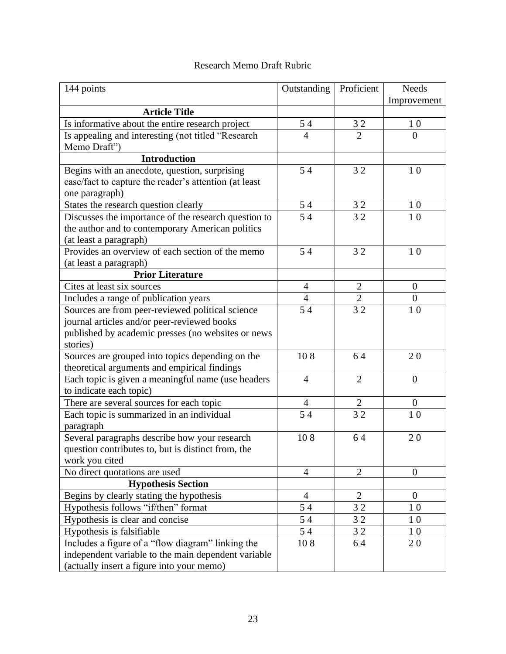### Research Memo Draft Rubric

| 144 points                                            | Outstanding    | Proficient     | <b>Needs</b>     |
|-------------------------------------------------------|----------------|----------------|------------------|
|                                                       |                |                | Improvement      |
| <b>Article Title</b>                                  |                |                |                  |
| Is informative about the entire research project      | 54             | 32             | 10               |
| Is appealing and interesting (not titled "Research    | $\overline{4}$ | $\overline{2}$ | $\overline{0}$   |
| Memo Draft")                                          |                |                |                  |
| <b>Introduction</b>                                   |                |                |                  |
| Begins with an anecdote, question, surprising         | 54             | 32             | 1 <sub>0</sub>   |
| case/fact to capture the reader's attention (at least |                |                |                  |
| one paragraph)                                        |                |                |                  |
| States the research question clearly                  | 54             | 32             | 10               |
| Discusses the importance of the research question to  | 54             | 32             | 10               |
| the author and to contemporary American politics      |                |                |                  |
| (at least a paragraph)                                |                |                |                  |
| Provides an overview of each section of the memo      | 54             | 32             | 1 <sub>0</sub>   |
| (at least a paragraph)                                |                |                |                  |
| <b>Prior Literature</b>                               |                |                |                  |
| Cites at least six sources                            | $\overline{4}$ | $\overline{2}$ | $\boldsymbol{0}$ |
| Includes a range of publication years                 | $\overline{4}$ | $\overline{2}$ | $\overline{0}$   |
| Sources are from peer-reviewed political science      | 54             | 32             | 10               |
| journal articles and/or peer-reviewed books           |                |                |                  |
| published by academic presses (no websites or news    |                |                |                  |
| stories)                                              |                |                |                  |
| Sources are grouped into topics depending on the      | 108            | 64             | 20               |
| theoretical arguments and empirical findings          |                |                |                  |
| Each topic is given a meaningful name (use headers    | $\overline{4}$ | $\overline{2}$ | $\overline{0}$   |
| to indicate each topic)                               |                |                |                  |
| There are several sources for each topic              | 4              | $\sqrt{2}$     | $\mathbf{0}$     |
| Each topic is summarized in an individual             | 54             | 32             | 10               |
| paragraph                                             |                |                |                  |
| Several paragraphs describe how your research         | 108            | 64             | 20               |
| question contributes to, but is distinct from, the    |                |                |                  |
| work you cited                                        |                |                |                  |
| No direct quotations are used                         | 4              | $\overline{2}$ | $\boldsymbol{0}$ |
| <b>Hypothesis Section</b>                             |                |                |                  |
| Begins by clearly stating the hypothesis              | $\overline{4}$ | $\overline{2}$ | $\overline{0}$   |
| Hypothesis follows "if/then" format                   | 54             | 32             | 10               |
| Hypothesis is clear and concise                       | 54             | 32             | 10               |
| Hypothesis is falsifiable                             | 54             | 32             | 10               |
| Includes a figure of a "flow diagram" linking the     | 108            | 64             | 20               |
| independent variable to the main dependent variable   |                |                |                  |
| (actually insert a figure into your memo)             |                |                |                  |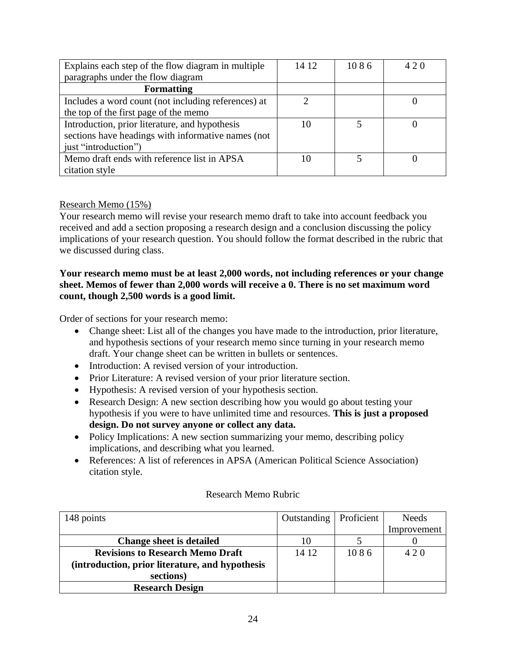| Explains each step of the flow diagram in multiple  | 14 12 | 1086 | 420 |
|-----------------------------------------------------|-------|------|-----|
| paragraphs under the flow diagram                   |       |      |     |
| <b>Formatting</b>                                   |       |      |     |
| Includes a word count (not including references) at |       |      |     |
| the top of the first page of the memo               |       |      |     |
| Introduction, prior literature, and hypothesis      | 10    |      |     |
| sections have headings with informative names (not  |       |      |     |
| just "introduction")                                |       |      |     |
| Memo draft ends with reference list in APSA         |       |      |     |
| citation style                                      |       |      |     |

#### Research Memo (15%)

Your research memo will revise your research memo draft to take into account feedback you received and add a section proposing a research design and a conclusion discussing the policy implications of your research question. You should follow the format described in the rubric that we discussed during class.

#### **Your research memo must be at least 2,000 words, not including references or your change sheet. Memos of fewer than 2,000 words will receive a 0. There is no set maximum word count, though 2,500 words is a good limit.**

Order of sections for your research memo:

- Change sheet: List all of the changes you have made to the introduction, prior literature, and hypothesis sections of your research memo since turning in your research memo draft. Your change sheet can be written in bullets or sentences.
- Introduction: A revised version of your introduction.
- Prior Literature: A revised version of your prior literature section.
- Hypothesis: A revised version of your hypothesis section.
- Research Design: A new section describing how you would go about testing your hypothesis if you were to have unlimited time and resources. **This is just a proposed design. Do not survey anyone or collect any data.**
- Policy Implications: A new section summarizing your memo, describing policy implications, and describing what you learned.
- References: A list of references in APSA (American Political Science Association) citation style.

#### Research Memo Rubric

| 148 points                                      | Outstanding | Proficient | <b>Needs</b> |
|-------------------------------------------------|-------------|------------|--------------|
|                                                 |             |            | Improvement  |
| <b>Change sheet is detailed</b>                 |             |            |              |
| <b>Revisions to Research Memo Draft</b>         | 14 12       | 1086       | 420          |
| (introduction, prior literature, and hypothesis |             |            |              |
| sections)                                       |             |            |              |
| <b>Research Design</b>                          |             |            |              |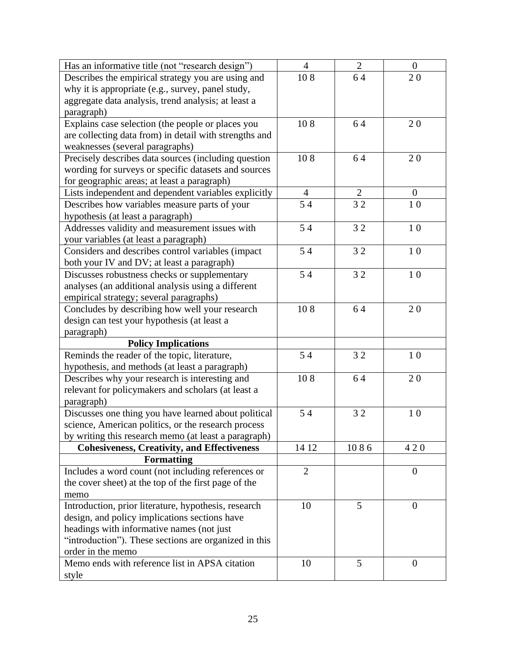| Has an informative title (not "research design")       | $\overline{4}$ | $\overline{2}$ | $\mathbf{0}$   |
|--------------------------------------------------------|----------------|----------------|----------------|
| Describes the empirical strategy you are using and     | 108            | 64             | 20             |
| why it is appropriate (e.g., survey, panel study,      |                |                |                |
| aggregate data analysis, trend analysis; at least a    |                |                |                |
| paragraph)                                             |                |                |                |
| Explains case selection (the people or places you      | 108            | 64             | 20             |
| are collecting data from) in detail with strengths and |                |                |                |
| weaknesses (several paragraphs)                        |                |                |                |
| Precisely describes data sources (including question   | 108            | 64             | 20             |
| wording for surveys or specific datasets and sources   |                |                |                |
| for geographic areas; at least a paragraph)            |                |                |                |
| Lists independent and dependent variables explicitly   | $\overline{4}$ | $\overline{2}$ | $\overline{0}$ |
| Describes how variables measure parts of your          | 54             | 32             | 10             |
| hypothesis (at least a paragraph)                      |                |                |                |
| Addresses validity and measurement issues with         | 54             | 32             | 10             |
| your variables (at least a paragraph)                  |                |                |                |
| Considers and describes control variables (impact      | 54             | 32             | 10             |
| both your IV and DV; at least a paragraph)             |                |                |                |
| Discusses robustness checks or supplementary           | 54             | 32             | 10             |
| analyses (an additional analysis using a different     |                |                |                |
| empirical strategy; several paragraphs)                |                |                |                |
| Concludes by describing how well your research         | 108            | 64             | 20             |
| design can test your hypothesis (at least a            |                |                |                |
| paragraph)                                             |                |                |                |
| <b>Policy Implications</b>                             |                |                |                |
| Reminds the reader of the topic, literature,           | 54             | 32             | $10$           |
| hypothesis, and methods (at least a paragraph)         |                |                |                |
| Describes why your research is interesting and         | 108            | 64             | 20             |
| relevant for policymakers and scholars (at least a     |                |                |                |
| paragraph)                                             |                |                |                |
| Discusses one thing you have learned about political   | 54             | 32             | 10             |
| science, American politics, or the research process    |                |                |                |
| by writing this research memo (at least a paragraph)   |                |                |                |
| <b>Cohesiveness, Creativity, and Effectiveness</b>     | 14 12          | 1086           | 420            |
| <b>Formatting</b>                                      |                |                |                |
| Includes a word count (not including references or     | $\overline{2}$ |                | $\mathbf{0}$   |
| the cover sheet) at the top of the first page of the   |                |                |                |
| memo                                                   |                |                |                |
| Introduction, prior literature, hypothesis, research   | 10             | 5              | $\theta$       |
| design, and policy implications sections have          |                |                |                |
| headings with informative names (not just              |                |                |                |
| "introduction"). These sections are organized in this  |                |                |                |
| order in the memo                                      |                |                |                |
| Memo ends with reference list in APSA citation         | 10             | 5              | $\overline{0}$ |
| style                                                  |                |                |                |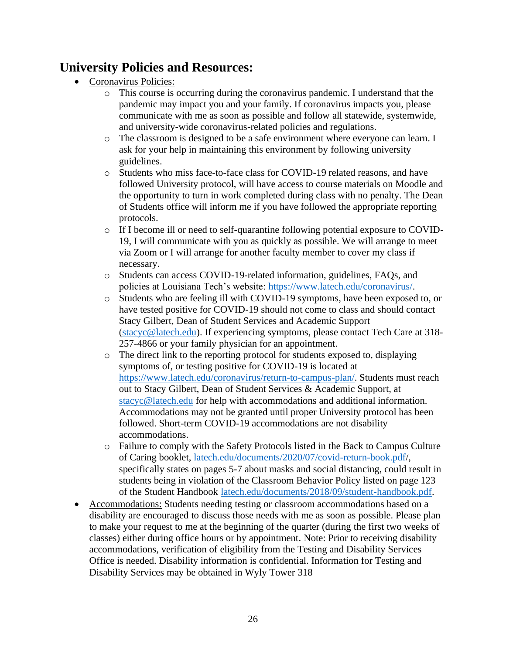# **University Policies and Resources:**

- Coronavirus Policies:
	- o This course is occurring during the coronavirus pandemic. I understand that the pandemic may impact you and your family. If coronavirus impacts you, please communicate with me as soon as possible and follow all statewide, systemwide, and university-wide coronavirus-related policies and regulations.
	- o The classroom is designed to be a safe environment where everyone can learn. I ask for your help in maintaining this environment by following university guidelines.
	- o Students who miss face-to-face class for COVID-19 related reasons, and have followed University protocol, will have access to course materials on Moodle and the opportunity to turn in work completed during class with no penalty. The Dean of Students office will inform me if you have followed the appropriate reporting protocols.
	- o If I become ill or need to self-quarantine following potential exposure to COVID-19, I will communicate with you as quickly as possible. We will arrange to meet via Zoom or I will arrange for another faculty member to cover my class if necessary.
	- o Students can access COVID-19-related information, guidelines, FAQs, and policies at Louisiana Tech's website: [https://www.latech.edu/coronavirus/.](https://www.latech.edu/coronavirus/)
	- o Students who are feeling ill with COVID-19 symptoms, have been exposed to, or have tested positive for COVID-19 should not come to class and should contact Stacy Gilbert, Dean of Student Services and Academic Support [\(stacyc@latech.edu\)](mailto:stacyc@latech.edu). If experiencing symptoms, please contact Tech Care at 318- 257-4866 or your family physician for an appointment.
	- o The direct link to the reporting protocol for students exposed to, displaying symptoms of, or testing positive for COVID-19 is located at [https://www.latech.edu/coronavirus/return-to-campus-plan/.](https://www.latech.edu/coronavirus/return-to-campus-plan/for-students/) Students must reach out to Stacy Gilbert, Dean of Student Services & Academic Support, at [stacyc@latech.edu](mailto:stacyc@latech.edu) for help with accommodations and additional information. Accommodations may not be granted until proper University protocol has been followed. Short-term COVID-19 accommodations are not disability accommodations.
	- o Failure to comply with the Safety Protocols listed in the Back to Campus Culture of Caring booklet, [latech.edu/documents/2020/07/covid-return-book.pdf/](http://latech.edu/documents/2020/07/covid-return-book.pdf), specifically states on pages 5-7 about masks and social distancing, could result in students being in violation of the Classroom Behavior Policy listed on page 123 of the Student Handbook [latech.edu/documents/2018/09/student-handbook.pdf.](http://latech.edu/documents/2018/09/student-handbook.pdf)
- Accommodations: Students needing testing or classroom accommodations based on a disability are encouraged to discuss those needs with me as soon as possible. Please plan to make your request to me at the beginning of the quarter (during the first two weeks of classes) either during office hours or by appointment. Note: Prior to receiving disability accommodations, verification of eligibility from the Testing and Disability Services Office is needed. Disability information is confidential. Information for Testing and Disability Services may be obtained in Wyly Tower 318